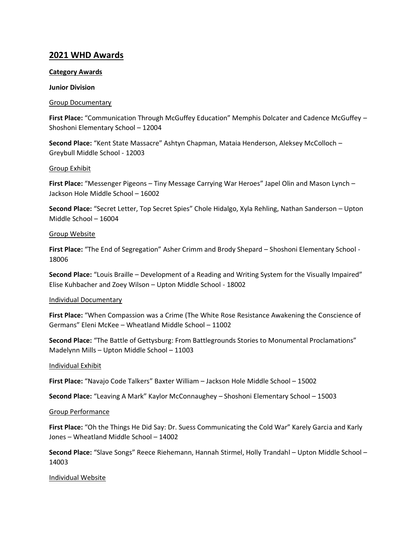# **2021 WHD Awards**

# **Category Awards**

## **Junior Division**

## Group Documentary

**First Place:** "Communication Through McGuffey Education" Memphis Dolcater and Cadence McGuffey – Shoshoni Elementary School – 12004

**Second Place:** "Kent State Massacre" Ashtyn Chapman, Mataia Henderson, Aleksey McColloch – Greybull Middle School - 12003

## Group Exhibit

**First Place:** "Messenger Pigeons – Tiny Message Carrying War Heroes" Japel Olin and Mason Lynch – Jackson Hole Middle School – 16002

**Second Place:** "Secret Letter, Top Secret Spies" Chole Hidalgo, Xyla Rehling, Nathan Sanderson – Upton Middle School – 16004

## Group Website

**First Place:** "The End of Segregation" Asher Crimm and Brody Shepard – Shoshoni Elementary School - 18006

**Second Place:** "Louis Braille – Development of a Reading and Writing System for the Visually Impaired" Elise Kuhbacher and Zoey Wilson – Upton Middle School - 18002

# Individual Documentary

**First Place:** "When Compassion was a Crime (The White Rose Resistance Awakening the Conscience of Germans" Eleni McKee – Wheatland Middle School – 11002

**Second Place:** "The Battle of Gettysburg: From Battlegrounds Stories to Monumental Proclamations" Madelynn Mills – Upton Middle School – 11003

# Individual Exhibit

**First Place:** "Navajo Code Talkers" Baxter William – Jackson Hole Middle School – 15002

**Second Place:** "Leaving A Mark" Kaylor McConnaughey – Shoshoni Elementary School – 15003

#### Group Performance

**First Place:** "Oh the Things He Did Say: Dr. Suess Communicating the Cold War" Karely Garcia and Karly Jones – Wheatland Middle School – 14002

**Second Place:** "Slave Songs" Reece Riehemann, Hannah Stirmel, Holly Trandahl – Upton Middle School – 14003

Individual Website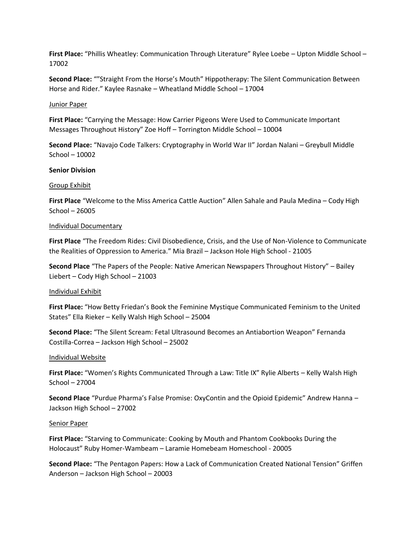**First Place:** "Phillis Wheatley: Communication Through Literature" Rylee Loebe – Upton Middle School – 17002

**Second Place:** ""Straight From the Horse's Mouth" Hippotherapy: The Silent Communication Between Horse and Rider." Kaylee Rasnake – Wheatland Middle School – 17004

#### Junior Paper

**First Place:** "Carrying the Message: How Carrier Pigeons Were Used to Communicate Important Messages Throughout History" Zoe Hoff – Torrington Middle School – 10004

**Second Place:** "Navajo Code Talkers: Cryptography in World War II" Jordan Nalani – Greybull Middle School – 10002

## **Senior Division**

#### Group Exhibit

**First Place** "Welcome to the Miss America Cattle Auction" Allen Sahale and Paula Medina – Cody High School – 26005

#### Individual Documentary

**First Place** "The Freedom Rides: Civil Disobedience, Crisis, and the Use of Non-Violence to Communicate the Realities of Oppression to America." Mia Brazil – Jackson Hole High School - 21005

**Second Place** "The Papers of the People: Native American Newspapers Throughout History" – Bailey Liebert – Cody High School – 21003

#### Individual Exhibit

**First Place:** "How Betty Friedan's Book the Feminine Mystique Communicated Feminism to the United States" Ella Rieker – Kelly Walsh High School – 25004

**Second Place:** "The Silent Scream: Fetal Ultrasound Becomes an Antiabortion Weapon" Fernanda Costilla-Correa – Jackson High School – 25002

#### Individual Website

**First Place:** "Women's Rights Communicated Through a Law: Title IX" Rylie Alberts – Kelly Walsh High School – 27004

**Second Place** "Purdue Pharma's False Promise: OxyContin and the Opioid Epidemic" Andrew Hanna – Jackson High School – 27002

#### Senior Paper

**First Place:** "Starving to Communicate: Cooking by Mouth and Phantom Cookbooks During the Holocaust" Ruby Homer-Wambeam – Laramie Homebeam Homeschool - 20005

**Second Place:** "The Pentagon Papers: How a Lack of Communication Created National Tension" Griffen Anderson – Jackson High School – 20003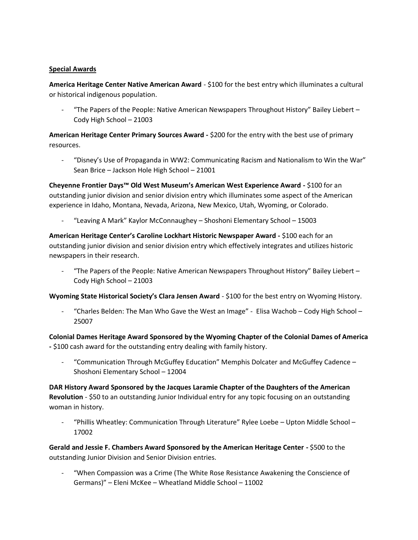# **Special Awards**

**America Heritage Center Native American Award** - \$100 for the best entry which illuminates a cultural or historical indigenous population.

"The Papers of the People: Native American Newspapers Throughout History" Bailey Liebert – Cody High School – 21003

**American Heritage Center Primary Sources Award -** \$200 for the entry with the best use of primary resources.

- "Disney's Use of Propaganda in WW2: Communicating Racism and Nationalism to Win the War" Sean Brice – Jackson Hole High School – 21001

**Cheyenne Frontier Days™ Old West Museum's American West Experience Award -** \$100 for an outstanding junior division and senior division entry which illuminates some aspect of the American experience in Idaho, Montana, Nevada, Arizona, New Mexico, Utah, Wyoming, or Colorado.

- "Leaving A Mark" Kaylor McConnaughey – Shoshoni Elementary School – 15003

**American Heritage Center's Caroline Lockhart Historic Newspaper Award -** \$100 each for an outstanding junior division and senior division entry which effectively integrates and utilizes historic newspapers in their research.

"The Papers of the People: Native American Newspapers Throughout History" Bailey Liebert – Cody High School – 21003

**Wyoming State Historical Society's Clara Jensen Award** - \$100 for the best entry on Wyoming History.

"Charles Belden: The Man Who Gave the West an Image" - Elisa Wachob - Cody High School -25007

**Colonial Dames Heritage Award Sponsored by the Wyoming Chapter of the Colonial Dames of America -** \$100 cash award for the outstanding entry dealing with family history.

"Communication Through McGuffey Education" Memphis Dolcater and McGuffey Cadence -Shoshoni Elementary School – 12004

**DAR History Award Sponsored by the Jacques Laramie Chapter of the Daughters of the American Revolution** - \$50 to an outstanding Junior Individual entry for any topic focusing on an outstanding woman in history.

- "Phillis Wheatley: Communication Through Literature" Rylee Loebe – Upton Middle School – 17002

**Gerald and Jessie F. Chambers Award Sponsored by the American Heritage Center -** \$500 to the outstanding Junior Division and Senior Division entries.

"When Compassion was a Crime (The White Rose Resistance Awakening the Conscience of Germans)" – Eleni McKee – Wheatland Middle School – 11002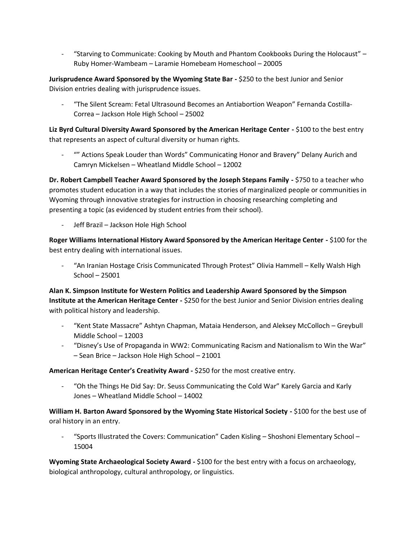- "Starving to Communicate: Cooking by Mouth and Phantom Cookbooks During the Holocaust" – Ruby Homer-Wambeam – Laramie Homebeam Homeschool – 20005

**Jurisprudence Award Sponsored by the Wyoming State Bar -** \$250 to the best Junior and Senior Division entries dealing with jurisprudence issues.

- "The Silent Scream: Fetal Ultrasound Becomes an Antiabortion Weapon" Fernanda Costilla-Correa – Jackson Hole High School – 25002

**Liz Byrd Cultural Diversity Award Sponsored by the American Heritage Center -** \$100 to the best entry that represents an aspect of cultural diversity or human rights.

- "" Actions Speak Louder than Words" Communicating Honor and Bravery" Delany Aurich and Camryn Mickelsen – Wheatland Middle School – 12002

**Dr. Robert Campbell Teacher Award Sponsored by the Joseph Stepans Family -** \$750 to a teacher who promotes student education in a way that includes the stories of marginalized people or communities in Wyoming through innovative strategies for instruction in choosing researching completing and presenting a topic (as evidenced by student entries from their school).

- Jeff Brazil – Jackson Hole High School

**Roger Williams International History Award Sponsored by the American Heritage Center -** \$100 for the best entry dealing with international issues.

- "An Iranian Hostage Crisis Communicated Through Protest" Olivia Hammell – Kelly Walsh High School – 25001

**Alan K. Simpson Institute for Western Politics and Leadership Award Sponsored by the Simpson Institute at the American Heritage Center -** \$250 for the best Junior and Senior Division entries dealing with political history and leadership.

- "Kent State Massacre" Ashtyn Chapman, Mataia Henderson, and Aleksey McColloch Greybull Middle School – 12003
- "Disney's Use of Propaganda in WW2: Communicating Racism and Nationalism to Win the War" – Sean Brice – Jackson Hole High School – 21001

**American Heritage Center's Creativity Award -** \$250 for the most creative entry.

- "Oh the Things He Did Say: Dr. Seuss Communicating the Cold War" Karely Garcia and Karly Jones – Wheatland Middle School – 14002

**William H. Barton Award Sponsored by the Wyoming State Historical Society -** \$100 for the best use of oral history in an entry.

- "Sports Illustrated the Covers: Communication" Caden Kisling – Shoshoni Elementary School – 15004

**Wyoming State Archaeological Society Award -** \$100 for the best entry with a focus on archaeology, biological anthropology, cultural anthropology, or linguistics.